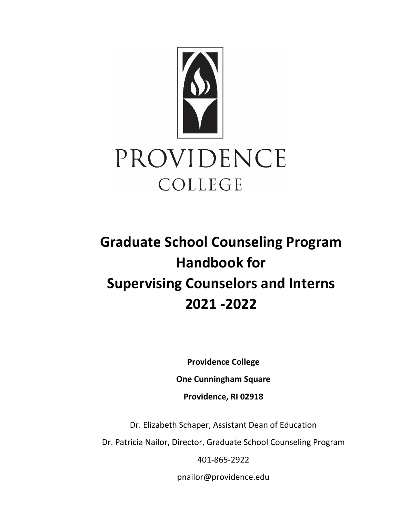

# **Graduate School Counseling Program Handbook for Supervising Counselors and Interns 2021 -2022**

**Providence College** 

**One Cunningham Square**

**Providence, RI 02918**

Dr. Elizabeth Schaper, Assistant Dean of Education

Dr. Patricia Nailor, Director, Graduate School Counseling Program

401-865-2922

[pnailor@providence.edu](mailto:pnailor@providence.edu)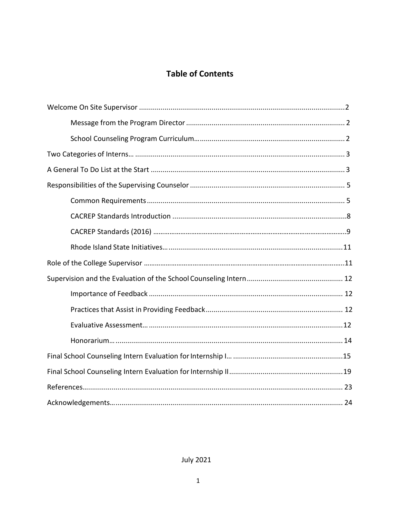# **Table of Contents**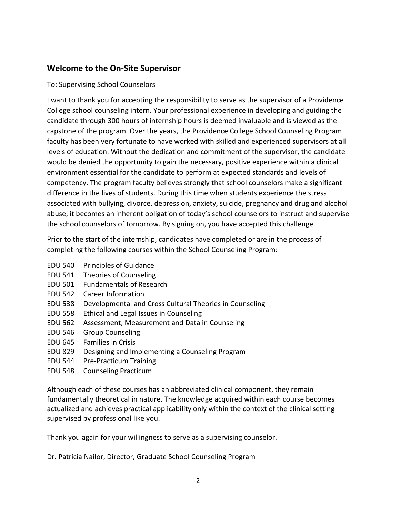## **Welcome to the On-Site Supervisor**

#### To: Supervising School Counselors

I want to thank you for accepting the responsibility to serve as the supervisor of a Providence College school counseling intern. Your professional experience in developing and guiding the candidate through 300 hours of internship hours is deemed invaluable and is viewed as the capstone of the program. Over the years, the Providence College School Counseling Program faculty has been very fortunate to have worked with skilled and experienced supervisors at all levels of education. Without the dedication and commitment of the supervisor, the candidate would be denied the opportunity to gain the necessary, positive experience within a clinical environment essential for the candidate to perform at expected standards and levels of competency. The program faculty believes strongly that school counselors make a significant difference in the lives of students. During this time when students experience the stress associated with bullying, divorce, depression, anxiety, suicide, pregnancy and drug and alcohol abuse, it becomes an inherent obligation of today's school counselors to instruct and supervise the school counselors of tomorrow. By signing on, you have accepted this challenge.

Prior to the start of the internship, candidates have completed or are in the process of completing the following courses within the School Counseling Program:

- EDU 540 Principles of Guidance
- EDU 541 Theories of Counseling
- EDU 501 Fundamentals of Research
- EDU 542 Career Information
- EDU 538 Developmental and Cross Cultural Theories in Counseling
- EDU 558 Ethical and Legal Issues in Counseling
- EDU 562 Assessment, Measurement and Data in Counseling
- EDU 546 Group Counseling
- EDU 645 Families in Crisis
- EDU 829 Designing and Implementing a Counseling Program
- EDU 544 Pre-Practicum Training
- EDU 548 Counseling Practicum

Although each of these courses has an abbreviated clinical component, they remain fundamentally theoretical in nature. The knowledge acquired within each course becomes actualized and achieves practical applicability only within the context of the clinical setting supervised by professional like you.

Thank you again for your willingness to serve as a supervising counselor.

Dr. Patricia Nailor, Director, Graduate School Counseling Program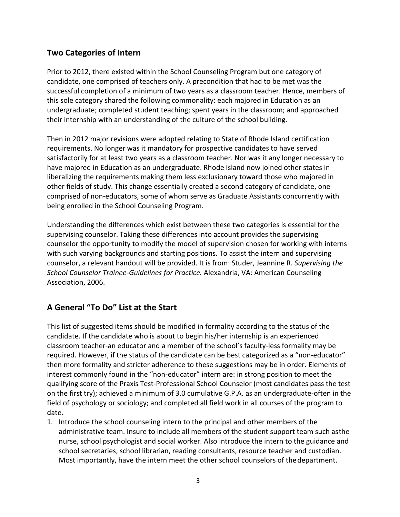## **Two Categories of Intern**

Prior to 2012, there existed within the School Counseling Program but one category of candidate, one comprised of teachers only. A precondition that had to be met was the successful completion of a minimum of two years as a classroom teacher. Hence, members of this sole category shared the following commonality: each majored in Education as an undergraduate; completed student teaching; spent years in the classroom; and approached their internship with an understanding of the culture of the school building.

Then in 2012 major revisions were adopted relating to State of Rhode Island certification requirements. No longer was it mandatory for prospective candidates to have served satisfactorily for at least two years as a classroom teacher. Nor was it any longer necessary to have majored in Education as an undergraduate. Rhode Island now joined other states in liberalizing the requirements making them less exclusionary toward those who majored in other fields of study. This change essentially created a second category of candidate, one comprised of non-educators, some of whom serve as Graduate Assistants concurrently with being enrolled in the School Counseling Program.

Understanding the differences which exist between these two categories is essential for the supervising counselor. Taking these differences into account provides the supervising counselor the opportunity to modify the model of supervision chosen for working with interns with such varying backgrounds and starting positions. To assist the intern and supervising counselor, a relevant handout will be provided. It is from: Studer, Jeannine R. *Supervising the School Counselor Trainee-Guidelines for Practice.* Alexandria, VA: American Counseling Association, 2006.

## <span id="page-3-0"></span>**A General "To Do" List at the Start**

This list of suggested items should be modified in formality according to the status of the candidate. If the candidate who is about to begin his/her internship is an experienced classroom teacher-an educator and a member of the school's faculty-less formality may be required. However, if the status of the candidate can be best categorized as a "non-educator" then more formality and stricter adherence to these suggestions may be in order. Elements of interest commonly found in the "non-educator" intern are: in strong position to meet the qualifying score of the Praxis Test-Professional School Counselor (most candidates pass the test on the first try); achieved a minimum of 3.0 cumulative G.P.A. as an undergraduate-often in the field of psychology or sociology; and completed all field work in all courses of the program to date.

1. Introduce the school counseling intern to the principal and other members of the administrative team. Insure to include all members of the student support team such asthe nurse, school psychologist and social worker. Also introduce the intern to the guidance and school secretaries, school librarian, reading consultants, resource teacher and custodian. Most importantly, have the intern meet the other school counselors of thedepartment.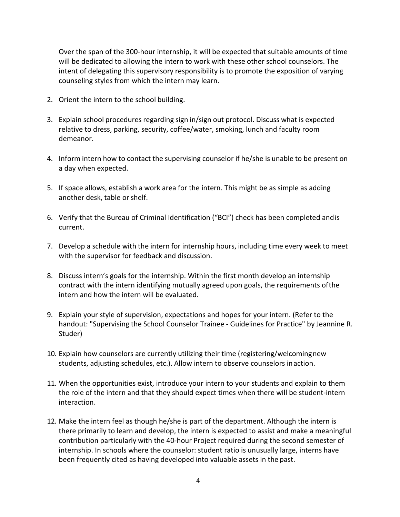Over the span of the 300-hour internship, it will be expected that suitable amounts of time will be dedicated to allowing the intern to work with these other school counselors. The intent of delegating this supervisory responsibility is to promote the exposition of varying counseling styles from which the intern may learn.

- 2. Orient the intern to the school building.
- 3. Explain school procedures regarding sign in/sign out protocol. Discuss what is expected relative to dress, parking, security, coffee/water, smoking, lunch and faculty room demeanor.
- 4. Inform intern how to contact the supervising counselor if he/she is unable to be present on a day when expected.
- 5. If space allows, establish a work area for the intern. This might be as simple as adding another desk, table or shelf.
- 6. Verify that the Bureau of Criminal Identification ("BCI") check has been completed andis current.
- 7. Develop a schedule with the intern for internship hours, including time every week to meet with the supervisor for feedback and discussion.
- 8. Discuss intern's goals for the internship. Within the first month develop an internship contract with the intern identifying mutually agreed upon goals, the requirements ofthe intern and how the intern will be evaluated.
- 9. Explain your style of supervision, expectations and hopes for your intern. (Refer to the handout: "Supervising the School Counselor Trainee - Guidelines for Practice" by Jeannine R. Studer)
- 10. Explain how counselors are currently utilizing their time (registering/welcomingnew students, adjusting schedules, etc.). Allow intern to observe counselors inaction.
- 11. When the opportunities exist, introduce your intern to your students and explain to them the role of the intern and that they should expect times when there will be student-intern interaction.
- 12. Make the intern feel as though he/she is part of the department. Although the intern is there primarily to learn and develop, the intern is expected to assist and make a meaningful contribution particularly with the 40-hour Project required during the second semester of internship. In schools where the counselor: student ratio is unusually large, interns have been frequently cited as having developed into valuable assets in the past.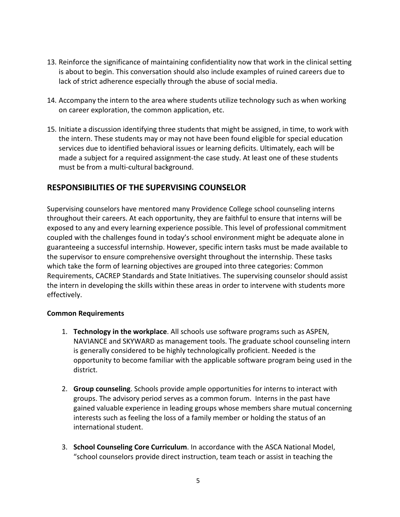- 13. Reinforce the significance of maintaining confidentiality now that work in the clinical setting is about to begin. This conversation should also include examples of ruined careers due to lack of strict adherence especially through the abuse of social media.
- 14. Accompany the intern to the area where students utilize technology such as when working on career exploration, the common application, etc.
- 15. Initiate a discussion identifying three students that might be assigned, in time, to work with the intern. These students may or may not have been found eligible for special education services due to identified behavioral issues or learning deficits. Ultimately, each will be made a subject for a required assignment-the case study. At least one of these students must be from a multi-cultural background.

## <span id="page-5-0"></span>**RESPONSIBILITIES OF THE SUPERVISING COUNSELOR**

Supervising counselors have mentored many Providence College school counseling interns throughout their careers. At each opportunity, they are faithful to ensure that interns will be exposed to any and every learning experience possible. This level of professional commitment coupled with the challenges found in today's school environment might be adequate alone in guaranteeing a successful internship. However, specific intern tasks must be made available to the supervisor to ensure comprehensive oversight throughout the internship. These tasks which take the form of learning objectives are grouped into three categories: Common Requirements, CACREP Standards and State Initiatives. The supervising counselor should assist the intern in developing the skills within these areas in order to intervene with students more effectively.

#### <span id="page-5-1"></span>**Common Requirements**

- 1. **Technology in the workplace**. All schools use software programs such as ASPEN, NAVIANCE and SKYWARD as management tools. The graduate school counseling intern is generally considered to be highly technologically proficient. Needed is the opportunity to become familiar with the applicable software program being used in the district.
- 2. **Group counseling**. Schools provide ample opportunities for interns to interact with groups. The advisory period serves as a common forum. Interns in the past have gained valuable experience in leading groups whose members share mutual concerning interests such as feeling the loss of a family member or holding the status of an international student.
- 3. **School Counseling Core Curriculum**. In accordance with the ASCA National Model, "school counselors provide direct instruction, team teach or assist in teaching the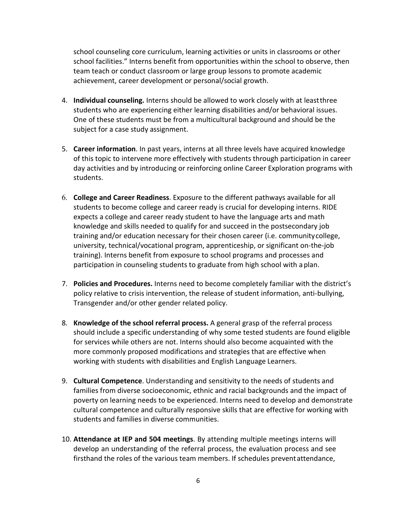school counseling core curriculum, learning activities or units in classrooms or other school facilities." Interns benefit from opportunities within the school to observe, then team teach or conduct classroom or large group lessons to promote academic achievement, career development or personal/social growth.

- 4. **Individual counseling.** Interns should be allowed to work closely with at leastthree students who are experiencing either learning disabilities and/or behavioral issues. One of these students must be from a multicultural background and should be the subject for a case study assignment.
- 5. **Career information**. In past years, interns at all three levels have acquired knowledge of this topic to intervene more effectively with students through participation in career day activities and by introducing or reinforcing online Career Exploration programs with students.
- 6. **College and Career Readiness**. Exposure to the different pathways available for all students to become college and career ready is crucial for developing interns. RIDE expects a college and career ready student to have the language arts and math knowledge and skills needed to qualify for and succeed in the postsecondary job training and/or education necessary for their chosen career (i.e. communitycollege, university, technical/vocational program, apprenticeship, or significant on-the-job training). Interns benefit from exposure to school programs and processes and participation in counseling students to graduate from high school with a plan.
- 7. **Policies and Procedures.** Interns need to become completely familiar with the district's policy relative to crisis intervention, the release of student information, anti-bullying, Transgender and/or other gender related policy.
- 8. **Knowledge of the school referral process.** A general grasp of the referral process should include a specific understanding of why some tested students are found eligible for services while others are not. Interns should also become acquainted with the more commonly proposed modifications and strategies that are effective when working with students with disabilities and English Language Learners.
- 9. **Cultural Competence**. Understanding and sensitivity to the needs of students and families from diverse socioeconomic, ethnic and racial backgrounds and the impact of poverty on learning needs to be experienced. Interns need to develop and demonstrate cultural competence and culturally responsive skills that are effective for working with students and families in diverse communities.
- 10. **Attendance at IEP and 504 meetings**. By attending multiple meetings interns will develop an understanding of the referral process, the evaluation process and see firsthand the roles of the various team members. If schedules preventattendance,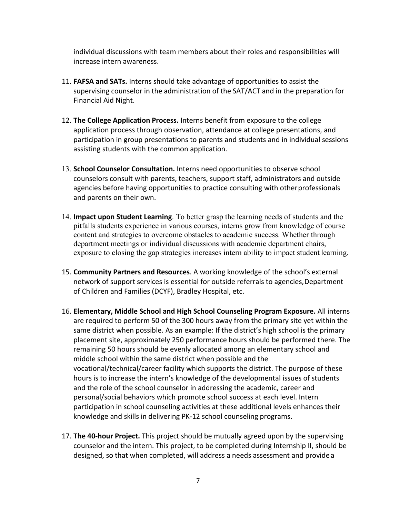individual discussions with team members about their roles and responsibilities will increase intern awareness.

- 11. **FAFSA and SATs.** Interns should take advantage of opportunities to assist the supervising counselor in the administration of the SAT/ACT and in the preparation for Financial Aid Night.
- 12. **The College Application Process.** Interns benefit from exposure to the college application process through observation, attendance at college presentations, and participation in group presentations to parents and students and in individual sessions assisting students with the common application.
- 13. **School Counselor Consultation.** Interns need opportunities to observe school counselors consult with parents, teachers, support staff, administrators and outside agencies before having opportunities to practice consulting with otherprofessionals and parents on their own.
- 14. **Impact upon Student Learning**. To better grasp the learning needs of students and the pitfalls students experience in various courses, interns grow from knowledge of course content and strategies to overcome obstacles to academic success. Whether through department meetings or individual discussions with academic department chairs, exposure to closing the gap strategies increases intern ability to impact student learning.
- 15. **Community Partners and Resources**. A working knowledge of the school's external network of support services is essential for outside referrals to agencies, Department of Children and Families (DCYF), Bradley Hospital, etc.
- 16. **Elementary, Middle School and High School Counseling Program Exposure.** All interns are required to perform 50 of the 300 hours away from the primary site yet within the same district when possible. As an example: If the district's high school is the primary placement site, approximately 250 performance hours should be performed there. The remaining 50 hours should be evenly allocated among an elementary school and middle school within the same district when possible and the vocational/technical/career facility which supports the district. The purpose of these hours is to increase the intern's knowledge of the developmental issues of students and the role of the school counselor in addressing the academic, career and personal/social behaviors which promote school success at each level. Intern participation in school counseling activities at these additional levels enhances their knowledge and skills in delivering PK-12 school counseling programs.
- 17. **The 40-hour Project.** This project should be mutually agreed upon by the supervising counselor and the intern. This project, to be completed during Internship II, should be designed, so that when completed, will address a needs assessment and providea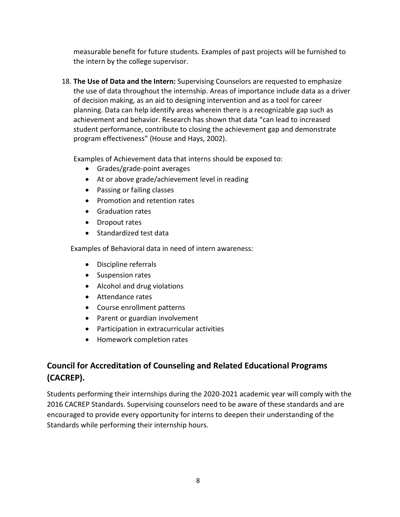measurable benefit for future students. Examples of past projects will be furnished to the intern by the college supervisor.

18. **The Use of Data and the Intern:** Supervising Counselors are requested to emphasize the use of data throughout the internship. Areas of importance include data as a driver of decision making, as an aid to designing intervention and as a tool for career planning. Data can help identify areas wherein there is a recognizable gap such as achievement and behavior. Research has shown that data "can lead to increased student performance, contribute to closing the achievement gap and demonstrate program effectiveness" (House and Hays, 2002).

Examples of Achievement data that interns should be exposed to:

- Grades/grade-point averages
- At or above grade/achievement level in reading
- Passing or failing classes
- Promotion and retention rates
- Graduation rates
- Dropout rates
- Standardized test data

Examples of Behavioral data in need of intern awareness:

- Discipline referrals
- Suspension rates
- Alcohol and drug violations
- Attendance rates
- Course enrollment patterns
- Parent or guardian involvement
- Participation in extracurricular activities
- Homework completion rates

# **Council for Accreditation of Counseling and Related Educational Programs (CACREP).**

Students performing their internships during the 2020-2021 academic year will comply with the 2016 CACREP Standards. Supervising counselors need to be aware of these standards and are encouraged to provide every opportunity for interns to deepen their understanding of the Standards while performing their internship hours.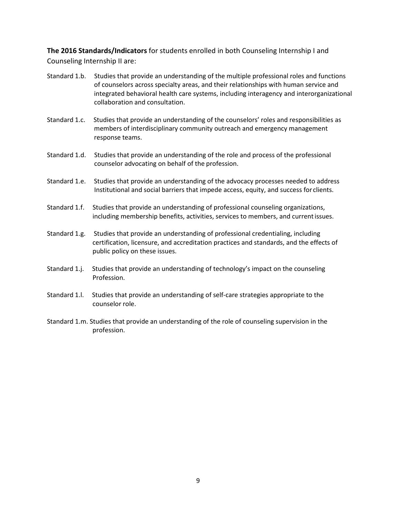**The 2016 Standards/Indicators** for students enrolled in both Counseling Internship I and Counseling Internship II are:

- Standard 1.b. Studies that provide an understanding of the multiple professional roles and functions of counselors across specialty areas, and their relationships with human service and integrated behavioral health care systems, including interagency and interorganizational collaboration and consultation.
- Standard 1.c. Studies that provide an understanding of the counselors' roles and responsibilities as members of interdisciplinary community outreach and emergency management response teams.
- Standard 1.d. Studies that provide an understanding of the role and process of the professional counselor advocating on behalf of the profession.
- Standard 1.e. Studies that provide an understanding of the advocacy processes needed to address Institutional and social barriers that impede access, equity, and success for clients.
- Standard 1.f. Studies that provide an understanding of professional counseling organizations, including membership benefits, activities, services to members, and current issues.
- Standard 1.g. Studies that provide an understanding of professional credentialing, including certification, licensure, and accreditation practices and standards, and the effects of public policy on these issues.
- Standard 1.j. Studies that provide an understanding of technology's impact on the counseling Profession.
- Standard 1.l. Studies that provide an understanding of self-care strategies appropriate to the counselor role.
- Standard 1.m. Studies that provide an understanding of the role of counseling supervision in the profession.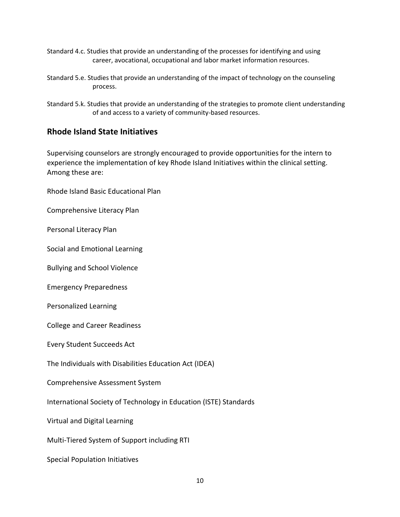- Standard 4.c. Studies that provide an understanding of the processes for identifying and using career, avocational, occupational and labor market information resources.
- Standard 5.e. Studies that provide an understanding of the impact of technology on the counseling process.
- Standard 5.k. Studies that provide an understanding of the strategies to promote client understanding of and access to a variety of community-based resources.

## <span id="page-10-0"></span>**Rhode Island State Initiatives**

Supervising counselors are strongly encouraged to provide opportunities for the intern to experience the implementation of key Rhode Island Initiatives within the clinical setting. Among these are:

Rhode Island Basic Educational Plan

Comprehensive Literacy Plan

Personal Literacy Plan

Social and Emotional Learning

Bullying and School Violence

Emergency Preparedness

Personalized Learning

College and Career Readiness

Every Student Succeeds Act

The Individuals with Disabilities Education Act (IDEA)

Comprehensive Assessment System

International Society of Technology in Education (ISTE) Standards

Virtual and Digital Learning

Multi-Tiered System of Support including RTI

Special Population Initiatives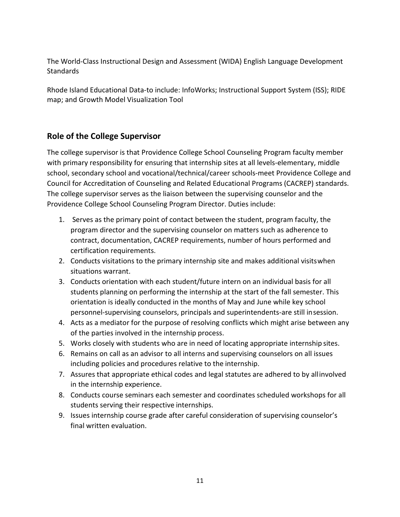The World-Class Instructional Design and Assessment (WIDA) English Language Development **Standards** 

Rhode Island Educational Data-to include: InfoWorks; Instructional Support System (ISS); RIDE map; and Growth Model Visualization Tool

## <span id="page-11-0"></span>**Role of the College Supervisor**

The college supervisor is that Providence College School Counseling Program faculty member with primary responsibility for ensuring that internship sites at all levels-elementary, middle school, secondary school and vocational/technical/career schools-meet Providence College and Council for Accreditation of Counseling and Related Educational Programs (CACREP) standards. The college supervisor serves as the liaison between the supervising counselor and the Providence College School Counseling Program Director. Duties include:

- 1. Serves as the primary point of contact between the student, program faculty, the program director and the supervising counselor on matters such as adherence to contract, documentation, CACREP requirements, number of hours performed and certification requirements.
- 2. Conducts visitations to the primary internship site and makes additional visitswhen situations warrant.
- 3. Conducts orientation with each student/future intern on an individual basis for all students planning on performing the internship at the start of the fall semester. This orientation is ideally conducted in the months of May and June while key school personnel-supervising counselors, principals and superintendents-are still insession.
- 4. Acts as a mediator for the purpose of resolving conflicts which might arise between any of the parties involved in the internship process.
- 5. Works closely with students who are in need of locating appropriate internship sites.
- 6. Remains on call as an advisor to all interns and supervising counselors on all issues including policies and procedures relative to the internship.
- 7. Assures that appropriate ethical codes and legal statutes are adhered to by allinvolved in the internship experience.
- 8. Conducts course seminars each semester and coordinates scheduled workshops for all students serving their respective internships.
- 9. Issues internship course grade after careful consideration of supervising counselor's final written evaluation.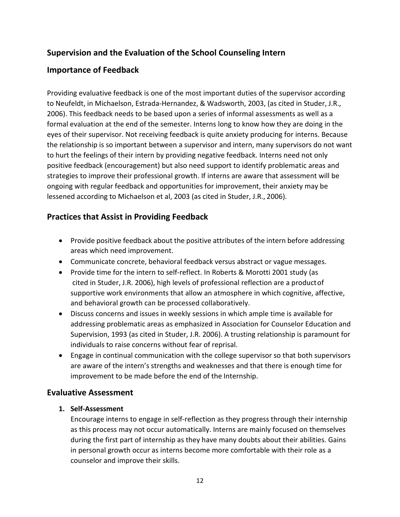## **Supervision and the Evaluation of the School Counseling Intern**

## **Importance of Feedback**

Providing evaluative feedback is one of the most important duties of the supervisor according to Neufeldt, in Michaelson, Estrada-Hernandez, & Wadsworth, 2003, (as cited in Studer, J.R., 2006). This feedback needs to be based upon a series of informal assessments as well as a formal evaluation at the end of the semester. Interns long to know how they are doing in the eyes of their supervisor. Not receiving feedback is quite anxiety producing for interns. Because the relationship is so important between a supervisor and intern, many supervisors do not want to hurt the feelings of their intern by providing negative feedback. Interns need not only positive feedback (encouragement) but also need support to identify problematic areas and strategies to improve their professional growth. If interns are aware that assessment will be ongoing with regular feedback and opportunities for improvement, their anxiety may be lessened according to Michaelson et al, 2003 (as cited in Studer, J.R., 2006).

## <span id="page-12-0"></span>**Practices that Assist in Providing Feedback**

- Provide positive feedback about the positive attributes of the intern before addressing areas which need improvement.
- Communicate concrete, behavioral feedback versus abstract or vague messages.
- Provide time for the intern to self-reflect. In Roberts & Morotti 2001 study (as cited in Studer, J.R. 2006), high levels of professional reflection are a productof supportive work environments that allow an atmosphere in which cognitive, affective, and behavioral growth can be processed collaboratively.
- Discuss concerns and issues in weekly sessions in which ample time is available for addressing problematic areas as emphasized in Association for Counselor Education and Supervision, 1993 (as cited in Studer, J.R. 2006). A trusting relationship is paramount for individuals to raise concerns without fear of reprisal.
- Engage in continual communication with the college supervisor so that both supervisors are aware of the intern's strengths and weaknesses and that there is enough time for improvement to be made before the end of the Internship.

## <span id="page-12-1"></span>**Evaluative Assessment**

#### **1. Self-Assessment**

Encourage interns to engage in self-reflection as they progress through their internship as this process may not occur automatically. Interns are mainly focused on themselves during the first part of internship as they have many doubts about their abilities. Gains in personal growth occur as interns become more comfortable with their role as a counselor and improve their skills.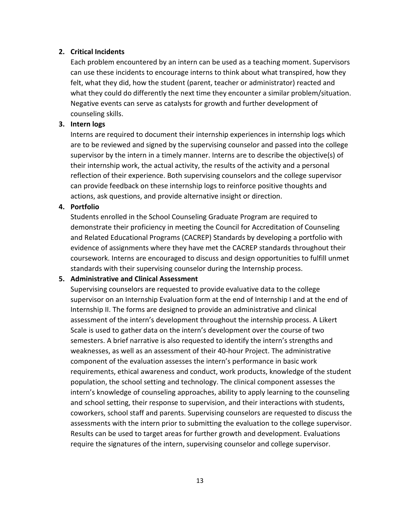#### **2. Critical Incidents**

Each problem encountered by an intern can be used as a teaching moment. Supervisors can use these incidents to encourage interns to think about what transpired, how they felt, what they did, how the student (parent, teacher or administrator) reacted and what they could do differently the next time they encounter a similar problem/situation. Negative events can serve as catalysts for growth and further development of counseling skills.

#### **3. Intern logs**

Interns are required to document their internship experiences in internship logs which are to be reviewed and signed by the supervising counselor and passed into the college supervisor by the intern in a timely manner. Interns are to describe the objective(s) of their internship work, the actual activity, the results of the activity and a personal reflection of their experience. Both supervising counselors and the college supervisor can provide feedback on these internship logs to reinforce positive thoughts and actions, ask questions, and provide alternative insight or direction.

#### **4. Portfolio**

Students enrolled in the School Counseling Graduate Program are required to demonstrate their proficiency in meeting the Council for Accreditation of Counseling and Related Educational Programs (CACREP) Standards by developing a portfolio with evidence of assignments where they have met the CACREP standards throughout their coursework. Interns are encouraged to discuss and design opportunities to fulfill unmet standards with their supervising counselor during the Internship process.

#### **5. Administrative and Clinical Assessment**

Supervising counselors are requested to provide evaluative data to the college supervisor on an Internship Evaluation form at the end of Internship I and at the end of Internship II. The forms are designed to provide an administrative and clinical assessment of the intern's development throughout the internship process. A Likert Scale is used to gather data on the intern's development over the course of two semesters. A brief narrative is also requested to identify the intern's strengths and weaknesses, as well as an assessment of their 40-hour Project. The administrative component of the evaluation assesses the intern's performance in basic work requirements, ethical awareness and conduct, work products, knowledge of the student population, the school setting and technology. The clinical component assesses the intern's knowledge of counseling approaches, ability to apply learning to the counseling and school setting, their response to supervision, and their interactions with students, coworkers, school staff and parents. Supervising counselors are requested to discuss the assessments with the intern prior to submitting the evaluation to the college supervisor. Results can be used to target areas for further growth and development. Evaluations require the signatures of the intern, supervising counselor and college supervisor.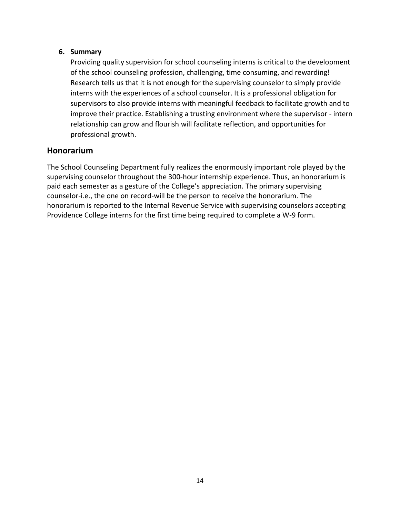### **6. Summary**

Providing quality supervision for school counseling interns is critical to the development of the school counseling profession, challenging, time consuming, and rewarding! Research tells us that it is not enough for the supervising counselor to simply provide interns with the experiences of a school counselor. It is a professional obligation for supervisors to also provide interns with meaningful feedback to facilitate growth and to improve their practice. Establishing a trusting environment where the supervisor - intern relationship can grow and flourish will facilitate reflection, and opportunities for professional growth.

## <span id="page-14-0"></span>**Honorarium**

The School Counseling Department fully realizes the enormously important role played by the supervising counselor throughout the 300-hour internship experience. Thus, an honorarium is paid each semester as a gesture of the College's appreciation. The primary supervising counselor-i.e., the one on record-will be the person to receive the honorarium. The honorarium is reported to the Internal Revenue Service with supervising counselors accepting Providence College interns for the first time being required to complete a W-9 form.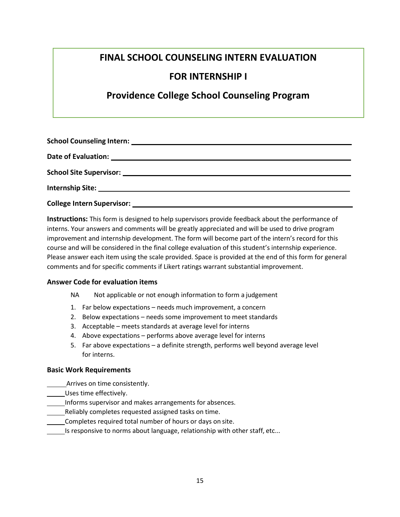# **FINAL SCHOOL COUNSELING INTERN EVALUATION**

## **FOR INTERNSHIP I**

# **Providence College School Counseling Program**

**Instructions:** This form is designed to help supervisors provide feedback about the performance of interns. Your answers and comments will be greatly appreciated and will be used to drive program improvement and internship development. The form will become part of the intern's record for this course and will be considered in the final college evaluation of this student's internship experience. Please answer each item using the scale provided. Space is provided at the end of this form for general comments and for specific comments if Likert ratings warrant substantial improvement.

#### **Answer Code for evaluation items**

- NA Not applicable or not enough information to form a judgement
- 1. Far below expectations needs much improvement, a concern
- 2. Below expectations needs some improvement to meet standards
- 3. Acceptable meets standards at average level for interns
- 4. Above expectations performs above average level for interns
- 5. Far above expectations a definite strength, performs well beyond average level for interns.

#### **Basic Work Requirements**

- Arrives on time consistently.
- Uses time effectively.
- Informs supervisor and makes arrangements for absences.
- Reliably completes requested assigned tasks on time.
- Completes required total number of hours or days on site.
- Is responsive to norms about language, relationship with other staff, etc...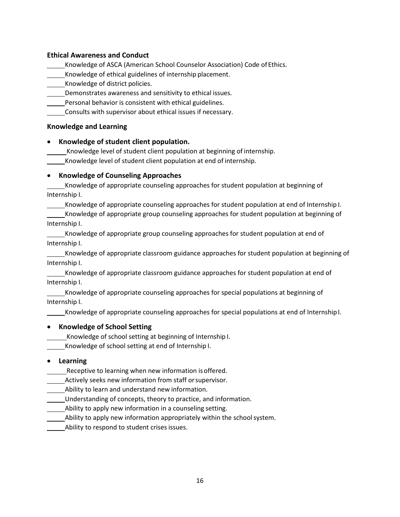#### **Ethical Awareness and Conduct**

Knowledge of ASCA (American School Counselor Association) Code of Ethics.

Knowledge of ethical guidelines of internship placement.

Knowledge of district policies.

Demonstrates awareness and sensitivity to ethical issues.

Personal behavior is consistent with ethical guidelines.

Consults with supervisor about ethical issues if necessary.

#### **Knowledge and Learning**

#### • **Knowledge of student client population.**

Knowledge level of student client population at beginning of internship.

Knowledge level of student client population at end of internship.

#### • **Knowledge of Counseling Approaches**

Knowledge of appropriate counseling approaches for student population at beginning of Internship I.

Knowledge of appropriate counseling approaches for student population at end of Internship I. Knowledge of appropriate group counseling approaches for student population at beginning of Internship I.

Knowledge of appropriate group counseling approaches for student population at end of Internship I.

Knowledge of appropriate classroom guidance approaches for student population at beginning of Internship I.

Knowledge of appropriate classroom guidance approaches for student population at end of Internship I.

Knowledge of appropriate counseling approaches for special populations at beginning of Internship I.

Knowledge of appropriate counseling approaches for special populations at end of InternshipI.

#### • **Knowledge of School Setting**

Knowledge of school setting at beginning of Internship I.

Knowledge of school setting at end of Internship I.

#### • **Learning**

Receptive to learning when new information isoffered.

Actively seeks new information from staff orsupervisor.

Ability to learn and understand new information.

Understanding of concepts, theory to practice, and information.

Ability to apply new information in a counseling setting.

Ability to apply new information appropriately within the schoolsystem.

Ability to respond to student crises issues.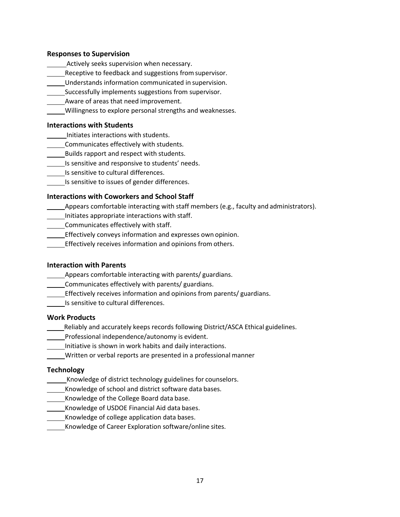#### **Responses to Supervision**

- Actively seeks supervision when necessary.
- Receptive to feedback and suggestions fromsupervisor.
- Understands information communicated in supervision.
- Successfully implements suggestions from supervisor.
- Aware of areas that need improvement.
- Willingness to explore personal strengths and weaknesses.

#### **Interactions with Students**

- Initiates interactions with students.
- Communicates effectively with students.
- Builds rapport and respect with students.
- Is sensitive and responsive to students' needs.
- Is sensitive to cultural differences.
- Is sensitive to issues of gender differences.

#### **Interactions with Coworkers and School Staff**

- Appears comfortable interacting with staff members (e.g., faculty and administrators).
- Initiates appropriate interactions with staff.
- Communicates effectively with staff.
- Effectively conveys information and expresses own opinion.
- **Effectively receives information and opinions from others.**

#### **Interaction with Parents**

- **Appears comfortable interacting with parents/ guardians.**
- Communicates effectively with parents/ guardians.
- Effectively receives information and opinions from parents/ guardians.
- Is sensitive to cultural differences.

#### **Work Products**

- Reliably and accurately keeps records following District/ASCA Ethical guidelines.
- **Professional independence/autonomy is evident.**
- Initiative is shown in work habits and daily interactions.
- Written or verbal reports are presented in a professional manner

#### **Technology**

- Knowledge of district technology guidelines for counselors.
- Knowledge of school and district software data bases.
- **Knowledge of the College Board data base.**
- Knowledge of USDOE Financial Aid data bases.
- Knowledge of college application data bases.
- Knowledge of Career Exploration software/online sites.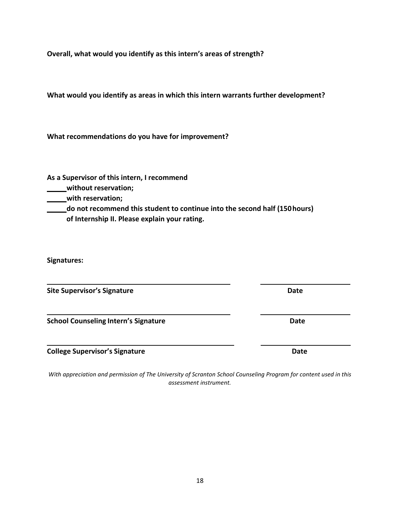**Overall, what would you identify as this intern's areas of strength?**

**What would you identify as areas in which this intern warrants further development?**

**What recommendations do you have for improvement?**

**As a Supervisor of this intern, I recommend**

**without reservation;**

**with reservation;**

**do not recommend this student to continue into the second half (150hours) of Internship II. Please explain your rating.**

**Signatures:**

**Site Supervisor's Signature Date**

**School Counseling Intern's Signature Date**

**College Supervisor's Signature Date**

*With appreciation and permission of The University of Scranton School Counseling Program for content used in this assessment instrument.*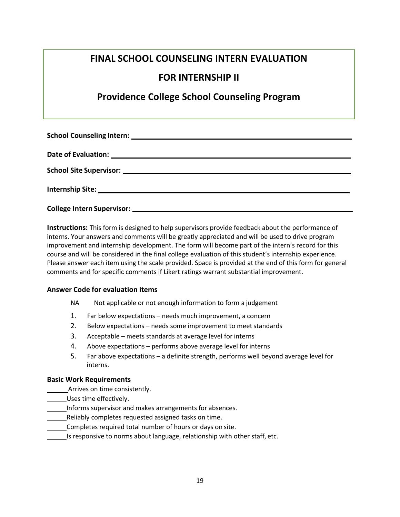# **FINAL SCHOOL COUNSELING INTERN EVALUATION**

# **FOR INTERNSHIP II**

# **Providence College School Counseling Program**

**Instructions:** This form is designed to help supervisors provide feedback about the performance of interns. Your answers and comments will be greatly appreciated and will be used to drive program improvement and internship development. The form will become part of the intern's record for this course and will be considered in the final college evaluation of this student's internship experience. Please answer each item using the scale provided. Space is provided at the end of this form for general comments and for specific comments if Likert ratings warrant substantial improvement.

#### **Answer Code for evaluation items**

- NA Not applicable or not enough information to form a judgement
- 1. Far below expectations needs much improvement, a concern
- 2. Below expectations needs some improvement to meet standards
- 3. Acceptable meets standards at average level for interns
- 4. Above expectations performs above average level for interns
- 5. Far above expectations a definite strength, performs well beyond average level for interns.

#### **Basic Work Requirements**

- Arrives on time consistently.
- Uses time effectively.
- Informs supervisor and makes arrangements for absences.
- Reliably completes requested assigned tasks on time.
- Completes required total number of hours or days on site.
- Is responsive to norms about language, relationship with other staff, etc.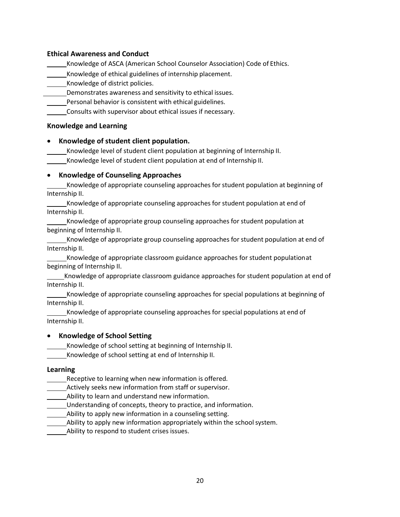#### **Ethical Awareness and Conduct**

Knowledge of ASCA (American School Counselor Association) Code of Ethics.

Knowledge of ethical guidelines of internship placement.

Knowledge of district policies.

Demonstrates awareness and sensitivity to ethical issues.

Personal behavior is consistent with ethical guidelines.

Consults with supervisor about ethical issues if necessary.

#### **Knowledge and Learning**

#### • **Knowledge of student client population.**

Knowledge level of student client population at beginning of Internship II.

Knowledge level of student client population at end of Internship II.

#### • **Knowledge of Counseling Approaches**

Knowledge of appropriate counseling approaches for student population at beginning of Internship II.

Knowledge of appropriate counseling approaches for student population at end of Internship II.

Knowledge of appropriate group counseling approaches for student population at beginning of Internship II.

Knowledge of appropriate group counseling approaches for student population at end of Internship II.

Knowledge of appropriate classroom guidance approaches for student populationat beginning of Internship II.

Knowledge of appropriate classroom guidance approaches for student population at end of Internship II.

Knowledge of appropriate counseling approaches for special populations at beginning of Internship II.

Knowledge of appropriate counseling approaches for special populations at end of Internship II.

#### • **Knowledge of School Setting**

Knowledge of school setting at beginning of Internship II.

Knowledge of school setting at end of Internship II.

#### **Learning**

Receptive to learning when new information is offered.

Actively seeks new information from staff or supervisor.

Ability to learn and understand new information.

Understanding of concepts, theory to practice, and information.

Ability to apply new information in a counseling setting.

Ability to apply new information appropriately within the schoolsystem.

Ability to respond to student crises issues.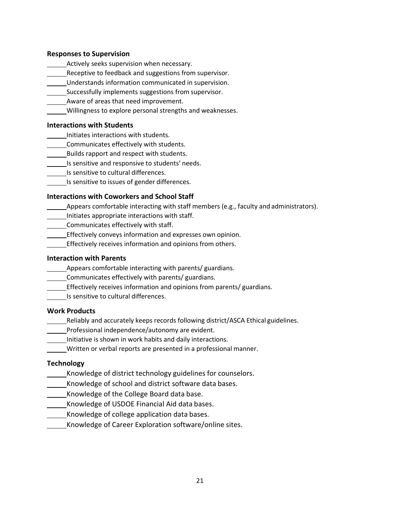#### **Responses to Supervision**

- Actively seeks supervision when necessary.
- Receptive to feedback and suggestions from supervisor.
- Understands information communicated in supervision.
- Successfully implements suggestions from supervisor.
- Aware of areas that need improvement.
	- Willingness to explore personal strengths and weaknesses.

#### **Interactions with Students**

- Initiates interactions with students.
- Communicates effectively with students.
- Builds rapport and respect with students.
- Is sensitive and responsive to students' needs.
- Is sensitive to cultural differences.
- Is sensitive to issues of gender differences.

#### **Interactions with Coworkers and School Staff**

- Appears comfortable interacting with staff members (e.g., faculty and administrators).
- Initiates appropriate interactions with staff.
- Communicates effectively with staff.
- **Effectively conveys information and expresses own opinion.**
- **Effectively receives information and opinions from others.**

#### **Interaction with Parents**

- Appears comfortable interacting with parents/ guardians.
- Communicates effectively with parents/ guardians.
- Effectively receives information and opinions from parents/ guardians.
- Is sensitive to cultural differences.

#### **Work Products**

- Reliably and accurately keeps records following district/ASCA Ethical guidelines.
- **Professional independence/autonomy are evident.**
- Initiative is shown in work habits and daily interactions.
- Written or verbal reports are presented in a professional manner.

#### **Technology**

- Knowledge of district technology guidelines for counselors.
- Knowledge of school and district software data bases.
- **Knowledge of the College Board data base.**
- Knowledge of USDOE Financial Aid data bases.
- Knowledge of college application data bases.
- Knowledge of Career Exploration software/online sites.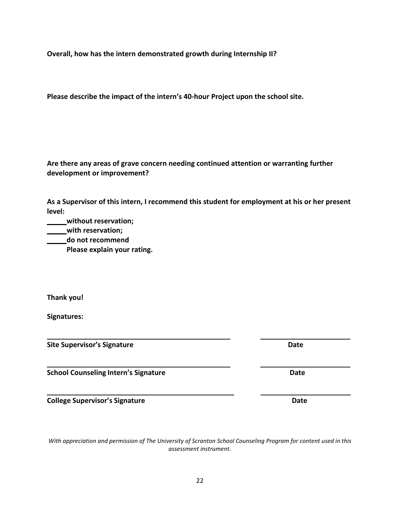**Overall, how has the intern demonstrated growth during Internship II?**

**Please describe the impact of the intern's 40-hour Project upon the school site.**

#### **Are there any areas of grave concern needing continued attention or warranting further development or improvement?**

**As a Supervisor of this intern, I recommend this student for employment at his or her present level:**

**without reservation;**

**with reservation;**

**do not recommend**

**Please explain your rating.**

**Thank you!** 

**Signatures:**

**Site Supervisor's Signature Date**

**School Counseling Intern's Signature Date**

**College Supervisor's Signature Date**

*With appreciation and permission of The University of Scranton School Counseling Program for content used in this assessment instrument.*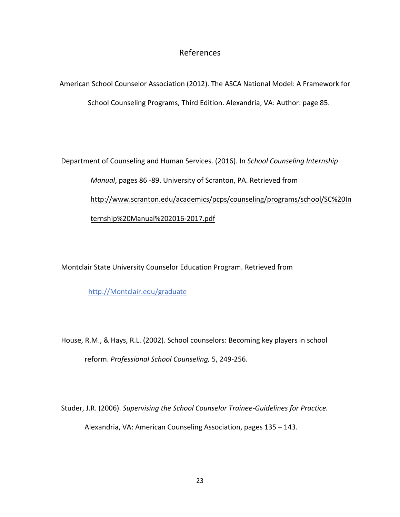## References

<span id="page-23-0"></span>American School Counselor Association (2012). The ASCA National Model: A Framework for School Counseling Programs, Third Edition. Alexandria, VA: Author: page 85.

Department of Counseling and Human Services. (2016). In *School Counseling Internship Manual*, pages 86 -89. University of Scranton, PA. Retrieved from <http://www.scranton.edu/academics/pcps/counseling/programs/school/SC%20In> ternship%20Manual%202016-2017.pdf

Montclair State University Counselor Education Program. Retrieved from

[http://Montclair.edu/graduate](http://montclair.edu/graduate)

House, R.M., & Hays, R.L. (2002). School counselors: Becoming key players in school reform. *Professional School Counseling,* 5, 249-256.

Studer, J.R. (2006). *Supervising the School Counselor Trainee-Guidelines for Practice.* Alexandria, VA: American Counseling Association, pages 135 – 143.